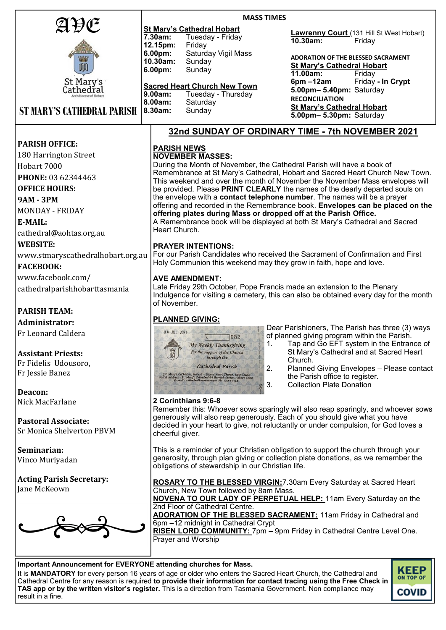| AÐŒ                                                                                                                                                                                                      | <b>MASS TIMES</b>                                                                                                                                                                           |                                                                                                                                                                 |  |
|----------------------------------------------------------------------------------------------------------------------------------------------------------------------------------------------------------|---------------------------------------------------------------------------------------------------------------------------------------------------------------------------------------------|-----------------------------------------------------------------------------------------------------------------------------------------------------------------|--|
|                                                                                                                                                                                                          | <b>St Mary's Cathedral Hobart</b><br>7.30am:<br>Tuesday - Friday                                                                                                                            | <b>Lawrenny Court</b> (131 Hill St West Hobart)                                                                                                                 |  |
|                                                                                                                                                                                                          | 12.15pm:<br>Friday                                                                                                                                                                          | 10.30am:<br>Friday                                                                                                                                              |  |
|                                                                                                                                                                                                          | 6.00pm:<br>Saturday Vigil Mass                                                                                                                                                              | <b>ADORATION OF THE BLESSED SACRAMENT</b>                                                                                                                       |  |
| m                                                                                                                                                                                                        | 10.30am:<br>Sunday<br>6.00pm:<br>Sunday                                                                                                                                                     | <b>St Mary's Cathedral Hobart</b>                                                                                                                               |  |
| St Mary's                                                                                                                                                                                                |                                                                                                                                                                                             | 11.00am:<br>Friday<br>Friday - In Crypt<br>$6pm - 12am$                                                                                                         |  |
| Cathedřal                                                                                                                                                                                                | <b>Sacred Heart Church New Town</b>                                                                                                                                                         | 5.00pm- 5.40pm: Saturday                                                                                                                                        |  |
|                                                                                                                                                                                                          | 9.00am:<br>Tuesday - Thursday<br>8.00am:<br>Saturday                                                                                                                                        | <b>RECONCILIATION</b>                                                                                                                                           |  |
| <b>ST MARY'S CATHEDRAL PARISH</b>                                                                                                                                                                        | 8.30am:<br>Sunday                                                                                                                                                                           | <b>St Mary's Cathedral Hobart</b><br>5.00pm- 5.30pm: Saturday                                                                                                   |  |
|                                                                                                                                                                                                          |                                                                                                                                                                                             |                                                                                                                                                                 |  |
|                                                                                                                                                                                                          |                                                                                                                                                                                             | 32nd SUNDAY OF ORDINARY TIME - 7th NOVEMBER 2021                                                                                                                |  |
| <b>PARISH OFFICE:</b>                                                                                                                                                                                    | <b>PARISH NEWS</b>                                                                                                                                                                          |                                                                                                                                                                 |  |
| 180 Harrington Street                                                                                                                                                                                    | <b>NOVEMBER MASSES:</b>                                                                                                                                                                     |                                                                                                                                                                 |  |
| Hobart 7000                                                                                                                                                                                              | During the Month of November, the Cathedral Parish will have a book of<br>Remembrance at St Mary's Cathedral, Hobart and Sacred Heart Church New Town.                                      |                                                                                                                                                                 |  |
| PHONE: 03 62344463                                                                                                                                                                                       | This weekend and over the month of November the November Mass envelopes will                                                                                                                |                                                                                                                                                                 |  |
| <b>OFFICE HOURS:</b>                                                                                                                                                                                     | be provided. Please PRINT CLEARLY the names of the dearly departed souls on<br>the envelope with a contact telephone number. The names will be a prayer                                     |                                                                                                                                                                 |  |
| <b>9AM - 3PM</b>                                                                                                                                                                                         | offering and recorded in the Remembrance book. Envelopes can be placed on the                                                                                                               |                                                                                                                                                                 |  |
| <b>MONDAY - FRIDAY</b>                                                                                                                                                                                   | offering plates during Mass or dropped off at the Parish Office.                                                                                                                            |                                                                                                                                                                 |  |
| E-MAIL:                                                                                                                                                                                                  | A Remembrance book will be displayed at both St Mary's Cathedral and Sacred<br>Heart Church.                                                                                                |                                                                                                                                                                 |  |
| cathedral@aohtas.org.au                                                                                                                                                                                  |                                                                                                                                                                                             |                                                                                                                                                                 |  |
| <b>WEBSITE:</b>                                                                                                                                                                                          | <b>PRAYER INTENTIONS:</b><br>For our Parish Candidates who received the Sacrament of Confirmation and First                                                                                 |                                                                                                                                                                 |  |
| www.stmaryscathedralhobart.org.au                                                                                                                                                                        | Holy Communion this weekend may they grow in faith, hope and love.                                                                                                                          |                                                                                                                                                                 |  |
| <b>FACEBOOK:</b>                                                                                                                                                                                         |                                                                                                                                                                                             |                                                                                                                                                                 |  |
| www.facebook.com/                                                                                                                                                                                        | <b>AVE AMENDMENT:</b>                                                                                                                                                                       |                                                                                                                                                                 |  |
| cathedralparishhobarttasmania                                                                                                                                                                            | Late Friday 29th October, Pope Francis made an extension to the Plenary<br>Indulgence for visiting a cemetery, this can also be obtained every day for the month                            |                                                                                                                                                                 |  |
|                                                                                                                                                                                                          | of November.                                                                                                                                                                                |                                                                                                                                                                 |  |
| <b>PARISH TEAM:</b>                                                                                                                                                                                      |                                                                                                                                                                                             |                                                                                                                                                                 |  |
| Administrator:                                                                                                                                                                                           | <b>PLANNED GIVING:</b>                                                                                                                                                                      | Dear Parishioners, The Parish has three (3) ways                                                                                                                |  |
| Fr Leonard Caldera                                                                                                                                                                                       | 04 JUL 2021<br>7052<br> s                                                                                                                                                                   | of planned giving program within the Parish.                                                                                                                    |  |
|                                                                                                                                                                                                          | 1.<br>My Weekly Thanksgiving                                                                                                                                                                | Tap and Go EFT system in the Entrance of                                                                                                                        |  |
| <b>Assistant Priests:</b>                                                                                                                                                                                | for the support of the Church<br>through the                                                                                                                                                | St Mary's Cathedral and at Sacred Heart<br>Church.                                                                                                              |  |
| Fr Fidelis Udousoro,<br>Fr Jessie Banez                                                                                                                                                                  | Cathedral Parish<br>2.                                                                                                                                                                      | Planned Giving Envelopes - Please contact                                                                                                                       |  |
|                                                                                                                                                                                                          | (St. Mary's Cathedral, Hobart - Sacred Heart Church, New Town)<br>Stal Address : St. Mary's Cathedral 99 Barrack Street, Hobart 7000<br>E-mail : cathedral@aohtas.org.au Ph: 62344463<br>3. | the Parish office to register.<br><b>Collection Plate Donation</b>                                                                                              |  |
| Deacon:                                                                                                                                                                                                  |                                                                                                                                                                                             |                                                                                                                                                                 |  |
| Nick MacFarlane                                                                                                                                                                                          | 2 Corinthians 9:6-8                                                                                                                                                                         |                                                                                                                                                                 |  |
|                                                                                                                                                                                                          |                                                                                                                                                                                             | Remember this: Whoever sows sparingly will also reap sparingly, and whoever sows<br>generously will also reap generously. Each of you should give what you have |  |
| <b>Pastoral Associate:</b>                                                                                                                                                                               |                                                                                                                                                                                             | decided in your heart to give, not reluctantly or under compulsion, for God loves a                                                                             |  |
| Sr Monica Shelverton PBVM                                                                                                                                                                                | cheerful giver.                                                                                                                                                                             |                                                                                                                                                                 |  |
| Seminarian:                                                                                                                                                                                              | This is a reminder of your Christian obligation to support the church through your                                                                                                          |                                                                                                                                                                 |  |
| Vinco Muriyadan                                                                                                                                                                                          | generosity, through plan giving or collection plate donations, as we remember the                                                                                                           |                                                                                                                                                                 |  |
|                                                                                                                                                                                                          | obligations of stewardship in our Christian life.                                                                                                                                           |                                                                                                                                                                 |  |
| <b>Acting Parish Secretary:</b>                                                                                                                                                                          | <b>ROSARY TO THE BLESSED VIRGIN: 7.30am Every Saturday at Sacred Heart</b>                                                                                                                  |                                                                                                                                                                 |  |
| Jane McKeown                                                                                                                                                                                             | Church, New Town followed by 8am Mass.                                                                                                                                                      |                                                                                                                                                                 |  |
|                                                                                                                                                                                                          | <b>NOVENA TO OUR LADY OF PERPETUAL HELP:</b> 11am Every Saturday on the<br>2nd Floor of Cathedral Centre.                                                                                   |                                                                                                                                                                 |  |
|                                                                                                                                                                                                          | <b>ADORATION OF THE BLESSED SACRAMENT:</b> 11am Friday in Cathedral and                                                                                                                     |                                                                                                                                                                 |  |
|                                                                                                                                                                                                          | 6pm -12 midnight in Cathedral Crypt                                                                                                                                                         |                                                                                                                                                                 |  |
|                                                                                                                                                                                                          | RISEN LORD COMMUNITY: 7pm - 9pm Friday in Cathedral Centre Level One.<br>Prayer and Worship                                                                                                 |                                                                                                                                                                 |  |
|                                                                                                                                                                                                          |                                                                                                                                                                                             |                                                                                                                                                                 |  |
|                                                                                                                                                                                                          |                                                                                                                                                                                             |                                                                                                                                                                 |  |
| Important Announcement for EVERYONE attending churches for Mass.<br><b>KEE</b><br>It is <b>MANDATORY</b> for every person 16 years of age or older who enters the Sacred Heart Church, the Cathedral and |                                                                                                                                                                                             |                                                                                                                                                                 |  |

It is **MANDATORY** for every person 16 years of age or older who enters the Sacred Heart Church, the Cathedral and Cathedral Centre for any reason is required **to provide their information for contact tracing using the Free [Check in](https://coronavirus.tas.gov.au/check-in-tas)  [TAS app](https://coronavirus.tas.gov.au/check-in-tas) or by the written visitor's register.** This is a direction from Tasmania Government. Non compliance may result in a fine.

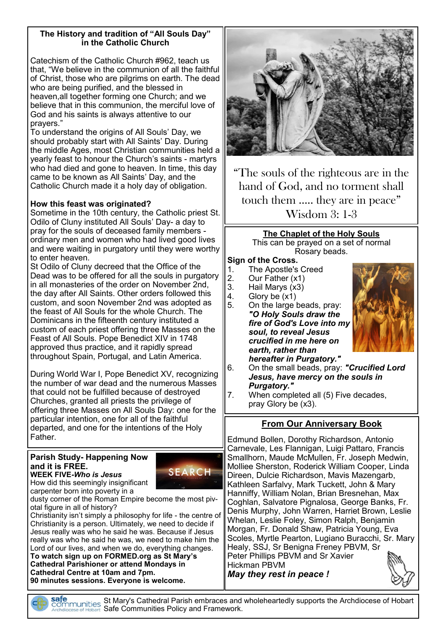#### **The History and tradition of "All Souls Day" in the Catholic Church**

Catechism of the Catholic Church #962, teach us that, "We believe in the communion of all the faithful of Christ, those who are pilgrims on earth. The dead who are being purified, and the blessed in heaven,all together forming one Church; and we believe that in this communion, the merciful love of God and his saints is always attentive to our prayers."

To understand the origins of All Souls' Day, we should probably start with All Saints' Day. During the middle Ages, most Christian communities held a yearly feast to honour the Church's saints - martyrs who had died and gone to heaven. In time, this day came to be known as All Saints' Day, and the Catholic Church made it a holy day of obligation.

# **How this feast was originated?**

Sometime in the 10th century, the Catholic priest St. Odilo of Cluny instituted All Souls' Day- a day to pray for the souls of deceased family members ordinary men and women who had lived good lives and were waiting in purgatory until they were worthy to enter heaven.

St Odilo of Cluny decreed that the Office of the Dead was to be offered for all the souls in purgatory in all monasteries of the order on November 2nd, the day after All Saints. Other orders followed this custom, and soon November 2nd was adopted as the feast of All Souls for the whole Church. The Dominicans in the fifteenth century instituted a custom of each priest offering three Masses on the Feast of All Souls. Pope Benedict XIV in 1748 approved thus practice, and it rapidly spread throughout Spain, Portugal, and Latin America.

During World War I, Pope Benedict XV, recognizing the number of war dead and the numerous Masses that could not be fulfilled because of destroyed Churches, granted all priests the privilege of offering three Masses on All Souls Day: one for the particular intention, one for all of the faithful departed, and one for the intentions of the Holy Father.

# **Parish Study- Happening Now and it is FREE.**



**WEEK FIVE***-Who is Jesus* How did this seemingly insignificant carpenter born into poverty in a

dusty corner of the Roman Empire become the most pivotal figure in all of history?

Christianity isn't simply a philosophy for life - the centre of Christianity is a person. Ultimately, we need to decide if Jesus really was who he said he was. Because if Jesus really was who he said he was, we need to make him the Lord of our lives, and when we do, everything changes. **To watch sign up on FORMED.org as St Mary's** 

**Cathedral Parishioner or attend Mondays in Cathedral Centre at 10am and 7pm. 90 minutes sessions. Everyone is welcome.**



"The souls of the righteous are in the hand of God, and no torment shall touch them ….. they are in peace"

Wisdom 3: 1-3

# **The Chaplet of the Holy Souls**

This can be prayed on a set of normal Rosary beads.

### **Sign of the Cross.**

- 1. The Apostle's Creed<br>2. Our Father (x1)
- Our Father (x1)
- 3. Hail Marys (x3)
- 4. Glory be  $(x1)$ <br>5. On the large  $\mathsf I$
- 5. On the large beads, pray: *"O Holy Souls draw the fire of God's Love into my soul, to reveal Jesus crucified in me here on earth, rather than hereafter in Purgatory."*



- 6. On the small beads, pray: *"Crucified Lord Jesus, have mercy on the souls in Purgatory."*
- 7. When completed all (5) Five decades, pray Glory be (x3).

# **From Our Anniversary Book**

Edmund Bollen, Dorothy Richardson, Antonio Carnevale, Les Flannigan, Luigi Pattaro, Francis Smallhorn, Maude McMullen, Fr. Joseph Medwin, Molliee Sherston, Roderick William Cooper, Linda Direen, Dulcie Richardson, Mavis Mazengarb, Kathleen Sarfalvy, Mark Tuckett, John & Mary Hanniffy, William Nolan, Brian Bresnehan, Max Coghlan, Salvatore Pignalosa, George Banks, Fr. Denis Murphy, John Warren, Harriet Brown, Leslie Whelan, Leslie Foley, Simon Ralph, Benjamin Morgan, Fr. Donald Shaw, Patricia Young, Eva Scoles, Myrtle Pearton, Lugiano Buracchi, Sr. Mary Healy, SSJ, Sr Benigna Freney PBVM, Sr Peter Phillips PBVM and Sr Xavier Hickman PBVM *May they rest in peace !*

St Mary's Cathedral Parish embraces and wholeheartedly supports the Archdiocese of Hobart Safe Communities Policy and Framework.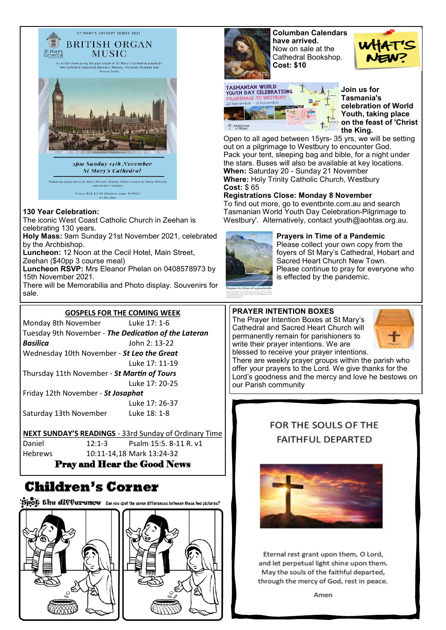

#### **130 Year Celebration:**

The iconic West Coast Catholic Church in Zeehan is celebrating 130 years.

**Holy Mass:** 9am Sunday 21st November 2021, celebrated by the Archbishop.

**Luncheon:** 12 Noon at the Cecil Hotel, Main Street,

Zeehan (\$40pp 3 course meal)

**Luncheon RSVP:** Mrs Eleanor Phelan on 0408578973 by 15th November 2021.

There will be Memorabilia and Photo display. Souvenirs for sale.

#### **GOSPELS FOR THE COMING WEEK**

Monday 8th November Luke 17: 1-6 Tuesday 9th November - *The Dedication of the Lateran Basilica* John 2: 13-22 Wednesday 10th November - *St Leo the Great* Luke 17: 11-19 Thursday 11th November - *St Martin of Tours* Luke 17: 20-25 Friday 12th November - *St Josaphat*  Luke 17: 26-37 Saturday 13th November Luke 18: 1-8

#### **NEXT SUNDAY'S READINGS** - 33rd Sunday of Ordinary Time

Daniel 12:1-3 [Psalm 15:5. 8](https://www.liturgyhelp.com/ritual/lectionary/LectionaryListPsalm%7Cpsm)-11 R. v1 Hebrews 10:11-14,18 Mark 13:24-32

#### Pray and Hear the Good News

# **Children's Corner**

Spot: the difference Can you spot the seven differences between these two pictures?





**Columban Calendars have arrived.** Now on sale at the Cathedral Bookshop. **Cost: \$10**



**Join us for Tasmania's celebration of World Youth, taking place on the feast of 'Christ the King.** 

Open to all aged between 15yrs- 35 yrs, we will be setting out on a pilgrimage to Westbury to encounter God. Pack your tent, sleeping bag and bible, for a night under the stars. Buses will also be available at key locations. **When:** Saturday 20 - Sunday 21 November **Where:** Holy Trinity Catholic Church, Westbury **Cost:** \$ 65

#### **Registrations Close: Monday 8 November**

To find out more, go to eventbrite.com.au and search Tasmanian World Youth Day Celebration-Pilgrimage to Westbury'. Alternatively, contact youth@aohtas.org.au.



**Prayers in Time of a Pandemic**  Please collect your own copy from the foyers of St Mary's Cathedral, Hobart and Sacred Heart Church New Town. Please continue to pray for everyone who is effected by the pandemic.

#### **PRAYER INTENTION BOXES**

The Prayer Intention Boxes at St Mary's Cathedral and Sacred Heart Church will permanently remain for parishioners to write their prayer intentions. We are blessed to receive your prayer intentions.



There are weekly prayer groups within the parish who offer your prayers to the Lord. We give thanks for the Lord's goodness and the mercy and love he bestows on our Parish community

# FOR THE SOULS OF THE **FAITHFUL DEPARTED**



Eternal rest grant upon them, O Lord, and let perpetual light shine upon them. May the souls of the faithful departed, through the mercy of God, rest in peace.

Amen